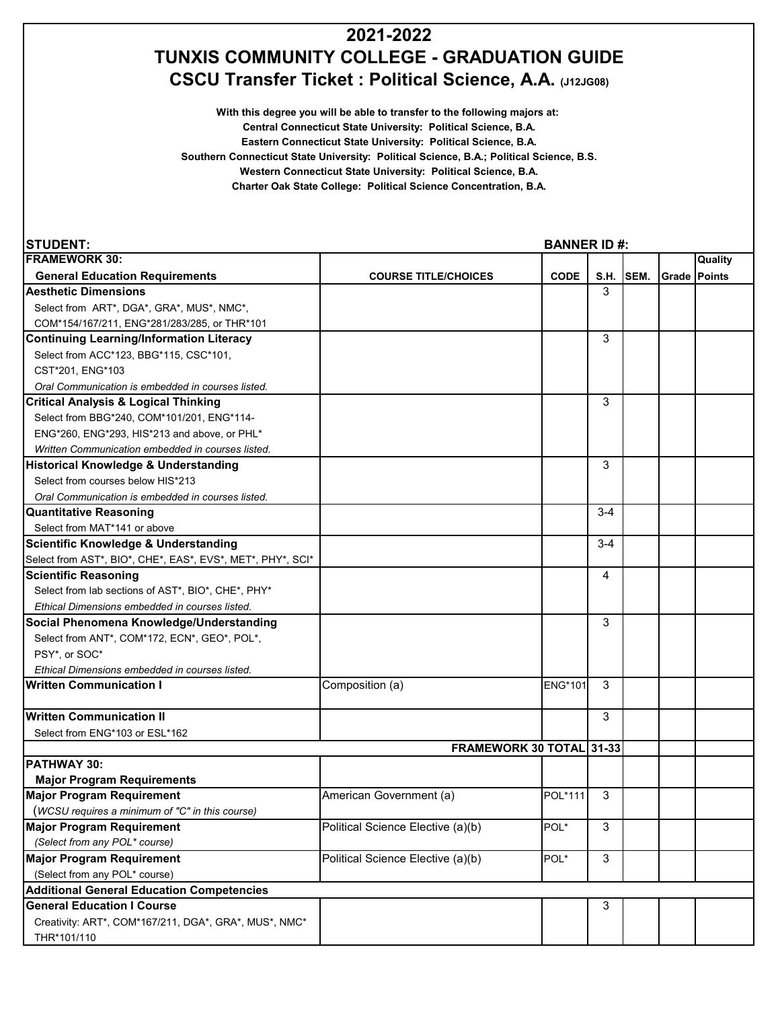## **2021-2022 TUNXIS COMMUNITY COLLEGE - GRADUATION GUIDE CSCU Transfer Ticket : Political Science, A.A. (J12JG08)**

**With this degree you will be able to transfer to the following majors at: Central Connecticut State University: Political Science, B.A.**

**Eastern Connecticut State University: Political Science, B.A.**

**Southern Connecticut State University: Political Science, B.A.; Political Science, B.S.**

**Western Connecticut State University: Political Science, B.A.**

**Charter Oak State College: Political Science Concentration, B.A.**

| <b>STUDENT:</b>                                            | <b>BANNER ID#:</b>                |                |         |           |                     |         |  |
|------------------------------------------------------------|-----------------------------------|----------------|---------|-----------|---------------------|---------|--|
| <b>FRAMEWORK 30:</b>                                       |                                   |                |         |           |                     | Quality |  |
| <b>General Education Requirements</b>                      | <b>COURSE TITLE/CHOICES</b>       | <b>CODE</b>    |         | S.H. SEM. | <b>Grade Points</b> |         |  |
| <b>Aesthetic Dimensions</b>                                |                                   |                | 3       |           |                     |         |  |
| Select from ART*, DGA*, GRA*, MUS*, NMC*,                  |                                   |                |         |           |                     |         |  |
| COM*154/167/211, ENG*281/283/285, or THR*101               |                                   |                |         |           |                     |         |  |
| <b>Continuing Learning/Information Literacy</b>            |                                   |                | 3       |           |                     |         |  |
| Select from ACC*123, BBG*115, CSC*101,                     |                                   |                |         |           |                     |         |  |
| CST*201. ENG*103                                           |                                   |                |         |           |                     |         |  |
| Oral Communication is embedded in courses listed.          |                                   |                |         |           |                     |         |  |
| <b>Critical Analysis &amp; Logical Thinking</b>            |                                   |                | 3       |           |                     |         |  |
| Select from BBG*240, COM*101/201, ENG*114-                 |                                   |                |         |           |                     |         |  |
| ENG*260, ENG*293, HIS*213 and above, or PHL*               |                                   |                |         |           |                     |         |  |
| Written Communication embedded in courses listed.          |                                   |                |         |           |                     |         |  |
| Historical Knowledge & Understanding                       |                                   |                | 3       |           |                     |         |  |
| Select from courses below HIS*213                          |                                   |                |         |           |                     |         |  |
| Oral Communication is embedded in courses listed.          |                                   |                |         |           |                     |         |  |
| <b>Quantitative Reasoning</b>                              |                                   |                | $3 - 4$ |           |                     |         |  |
| Select from MAT*141 or above                               |                                   |                |         |           |                     |         |  |
| <b>Scientific Knowledge &amp; Understanding</b>            |                                   |                | $3 - 4$ |           |                     |         |  |
| Select from AST*, BIO*, CHE*, EAS*, EVS*, MET*, PHY*, SCI* |                                   |                |         |           |                     |         |  |
| <b>Scientific Reasoning</b>                                |                                   |                | 4       |           |                     |         |  |
| Select from lab sections of AST*, BIO*, CHE*, PHY*         |                                   |                |         |           |                     |         |  |
| Ethical Dimensions embedded in courses listed.             |                                   |                |         |           |                     |         |  |
| Social Phenomena Knowledge/Understanding                   |                                   |                | 3       |           |                     |         |  |
| Select from ANT*, COM*172, ECN*, GEO*, POL*,               |                                   |                |         |           |                     |         |  |
| PSY*, or SOC*                                              |                                   |                |         |           |                     |         |  |
| Ethical Dimensions embedded in courses listed.             |                                   |                |         |           |                     |         |  |
| <b>Written Communication I</b>                             | Composition (a)                   | <b>ENG*101</b> | 3       |           |                     |         |  |
| Written Communication II                                   |                                   |                | 3       |           |                     |         |  |
| Select from ENG*103 or ESL*162                             |                                   |                |         |           |                     |         |  |
|                                                            | FRAMEWORK 30 TOTAL 31-33          |                |         |           |                     |         |  |
| <b>PATHWAY 30:</b>                                         |                                   |                |         |           |                     |         |  |
| <b>Major Program Requirements</b>                          |                                   |                |         |           |                     |         |  |
| <b>Major Program Requirement</b>                           | American Government (a)           | POL*111        | 3       |           |                     |         |  |
| (WCSU requires a minimum of "C" in this course)            |                                   |                |         |           |                     |         |  |
| <b>Major Program Requirement</b>                           | Political Science Elective (a)(b) | POL*           | 3       |           |                     |         |  |
| (Select from any POL* course)                              |                                   |                |         |           |                     |         |  |
| <b>Major Program Requirement</b>                           | Political Science Elective (a)(b) | POL*           | 3       |           |                     |         |  |
| (Select from any POL* course)                              |                                   |                |         |           |                     |         |  |
| <b>Additional General Education Competencies</b>           |                                   |                |         |           |                     |         |  |
| <b>General Education I Course</b>                          |                                   |                | 3       |           |                     |         |  |
| Creativity: ART*, COM*167/211, DGA*, GRA*, MUS*, NMC*      |                                   |                |         |           |                     |         |  |
| THR*101/110                                                |                                   |                |         |           |                     |         |  |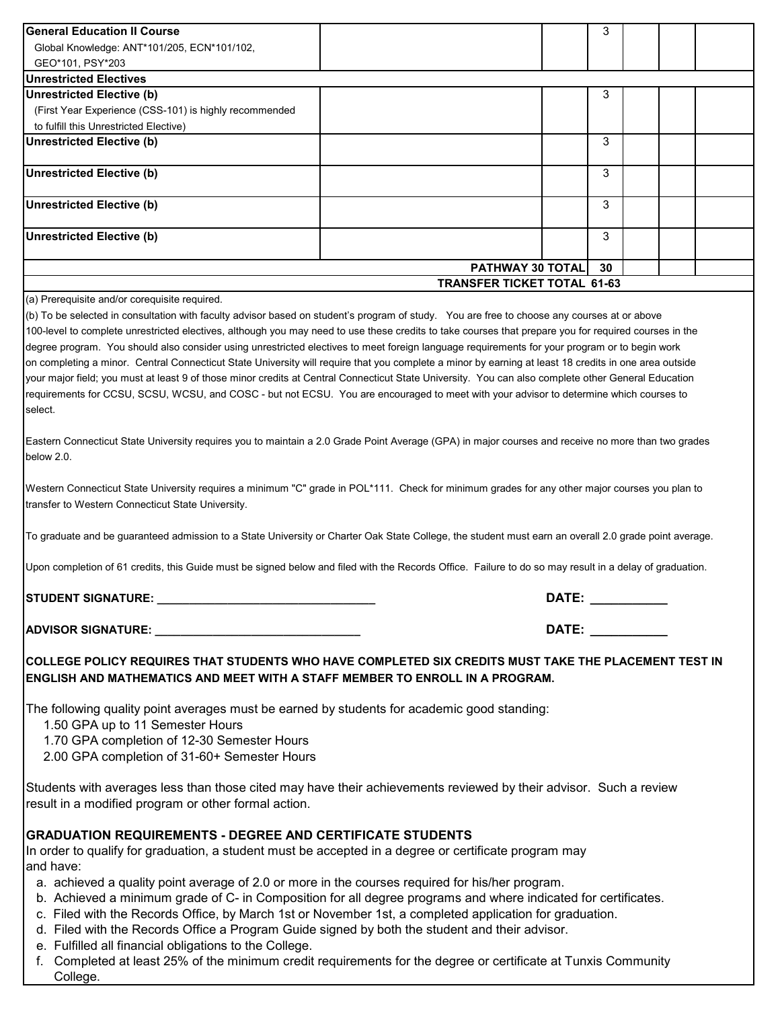| <b>General Education II Course</b>                     |  | 3 |  |  |  |  |  |  |  |
|--------------------------------------------------------|--|---|--|--|--|--|--|--|--|
| Global Knowledge: ANT*101/205, ECN*101/102,            |  |   |  |  |  |  |  |  |  |
| GEO*101, PSY*203                                       |  |   |  |  |  |  |  |  |  |
| <b>Unrestricted Electives</b>                          |  |   |  |  |  |  |  |  |  |
| <b>Unrestricted Elective (b)</b>                       |  | 3 |  |  |  |  |  |  |  |
| (First Year Experience (CSS-101) is highly recommended |  |   |  |  |  |  |  |  |  |
| to fulfill this Unrestricted Elective)                 |  |   |  |  |  |  |  |  |  |
| <b>Unrestricted Elective (b)</b>                       |  | 3 |  |  |  |  |  |  |  |
| Unrestricted Elective (b)                              |  | 3 |  |  |  |  |  |  |  |
| Unrestricted Elective (b)                              |  | 3 |  |  |  |  |  |  |  |
| Unrestricted Elective (b)                              |  | 3 |  |  |  |  |  |  |  |
| <b>PATHWAY 30 TOTAL</b><br>30                          |  |   |  |  |  |  |  |  |  |
| <b>TRANSFER TICKET TOTAL 61-63</b>                     |  |   |  |  |  |  |  |  |  |
| (a) Prerequisite and/or corequisite required           |  |   |  |  |  |  |  |  |  |

(a) Prerequisite and/or corequisite required.

(b) To be selected in consultation with faculty advisor based on student's program of study. You are free to choose any courses at or above 100-level to complete unrestricted electives, although you may need to use these credits to take courses that prepare you for required courses in the degree program. You should also consider using unrestricted electives to meet foreign language requirements for your program or to begin work on completing a minor. Central Connecticut State University will require that you complete a minor by earning at least 18 credits in one area outside your major field; you must at least 9 of those minor credits at Central Connecticut State University. You can also complete other General Education requirements for CCSU, SCSU, WCSU, and COSC - but not ECSU. You are encouraged to meet with your advisor to determine which courses to select.

Eastern Connecticut State University requires you to maintain a 2.0 Grade Point Average (GPA) in major courses and receive no more than two grades below 2.0.

Western Connecticut State University requires a minimum "C" grade in POL\*111. Check for minimum grades for any other major courses you plan to transfer to Western Connecticut State University.

To graduate and be guaranteed admission to a State University or Charter Oak State College, the student must earn an overall 2.0 grade point average.

Upon completion of 61 credits, this Guide must be signed below and filed with the Records Office. Failure to do so may result in a delay of graduation.

**STUDENT SIGNATURE: \_\_\_\_\_\_\_\_\_\_\_\_\_\_\_\_\_\_\_\_\_\_\_\_\_\_\_\_\_\_\_\_\_\_ DATE: \_\_\_\_\_\_\_\_\_\_\_**

**ADVISOR SIGNATURE: \_\_\_\_\_\_\_\_\_\_\_\_\_\_\_\_\_\_\_\_\_\_\_\_\_\_\_\_\_\_\_\_ DATE: \_\_\_\_\_\_\_\_\_\_\_**

**COLLEGE POLICY REQUIRES THAT STUDENTS WHO HAVE COMPLETED SIX CREDITS MUST TAKE THE PLACEMENT TEST IN ENGLISH AND MATHEMATICS AND MEET WITH A STAFF MEMBER TO ENROLL IN A PROGRAM.**

The following quality point averages must be earned by students for academic good standing:

1.50 GPA up to 11 Semester Hours

1.70 GPA completion of 12-30 Semester Hours

2.00 GPA completion of 31-60+ Semester Hours

Students with averages less than those cited may have their achievements reviewed by their advisor. Such a review result in a modified program or other formal action.

## **GRADUATION REQUIREMENTS - DEGREE AND CERTIFICATE STUDENTS**

In order to qualify for graduation, a student must be accepted in a degree or certificate program may and have:

- a. achieved a quality point average of 2.0 or more in the courses required for his/her program.
- b. Achieved a minimum grade of C- in Composition for all degree programs and where indicated for certificates.
- c. Filed with the Records Office, by March 1st or November 1st, a completed application for graduation.
- d. Filed with the Records Office a Program Guide signed by both the student and their advisor.
- e. Fulfilled all financial obligations to the College.
- f. Completed at least 25% of the minimum credit requirements for the degree or certificate at Tunxis Community College.